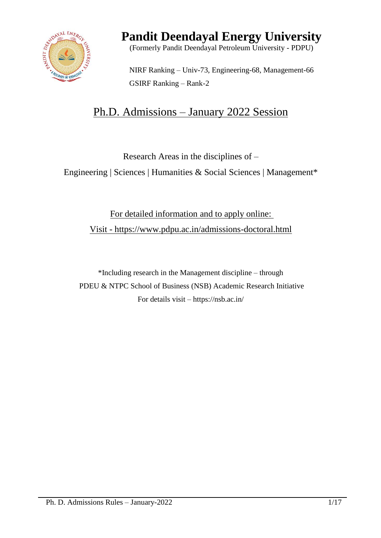

# **Pandit Deendayal Energy University**

(Formerly Pandit Deendayal Petroleum University - PDPU)

NIRF Ranking – Univ-73, Engineering-68, Management-66 GSIRF Ranking – Rank-2

# Ph.D. Admissions – January 2022 Session

Research Areas in the disciplines of –

Engineering | Sciences | Humanities & Social Sciences | Management\*

For detailed information and to apply online: Visit - https://www.pdpu.ac.in/admissions-doctoral.html

\*Including research in the Management discipline – through PDEU & NTPC School of Business (NSB) Academic Research Initiative For details visit – https://nsb.ac.in/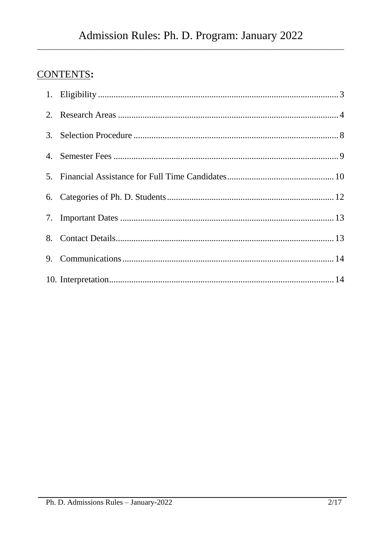## **CONTENTS:**

| 9. |  |
|----|--|
|    |  |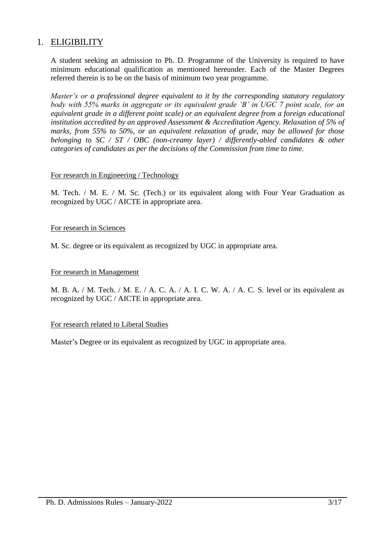## <span id="page-2-0"></span>1. ELIGIBILITY

A student seeking an admission to Ph. D. Programme of the University is required to have minimum educational qualification as mentioned hereunder. Each of the Master Degrees referred therein is to be on the basis of minimum two year programme.

*Master's or a professional degree equivalent to it by the corresponding statutory regulatory body with 55% marks in aggregate or its equivalent grade 'B' in UGC 7 point scale, (or an equivalent grade in a different point scale) or an equivalent degree from a foreign educational institution accredited by an approved Assessment & Accreditation Agency. Relaxation of 5% of marks, from 55% to 50%, or an equivalent relaxation of grade, may be allowed for those belonging to SC / ST / OBC (non-creamy layer) / differently-abled candidates & other categories of candidates as per the decisions of the Commission from time to time.*

## For research in Engineering / Technology

M. Tech. / M. E. / M. Sc. (Tech.) or its equivalent along with Four Year Graduation as recognized by UGC / AICTE in appropriate area.

## For research in Sciences

M. Sc. degree or its equivalent as recognized by UGC in appropriate area.

## For research in Management

M. B. A. / M. Tech. / M. E. / A. C. A. / A. I. C. W. A. / A. C. S. level or its equivalent as recognized by UGC / AICTE in appropriate area.

#### For research related to Liberal Studies

Master's Degree or its equivalent as recognized by UGC in appropriate area.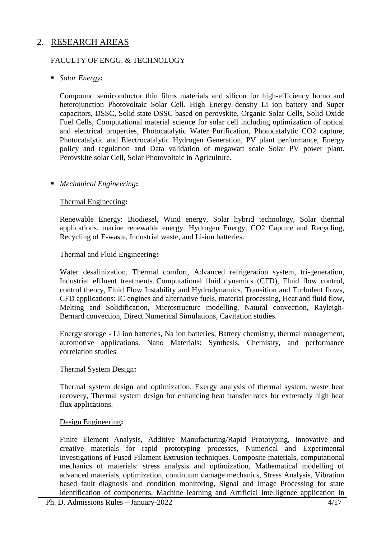## <span id="page-3-0"></span>2. RESEARCH AREAS

## FACULTY OF ENGG. & TECHNOLOGY

## *Solar Energy:*

Compound semiconductor thin films materials and silicon for high-efficiency homo and heterojunction Photovoltaic Solar Cell. High Energy density Li ion battery and Super capacitors, DSSC, Solid state DSSC based on perovskite, Organic Solar Cells, Solid Oxide Fuel Cells, Computational material science for solar cell including optimization of optical and electrical properties, Photocatalytic Water Purification, Photocatalytic CO2 capture, Photocatalytic and Electrocatalytic Hydrogen Generation, PV plant performance, Energy policy and regulation and Data validation of megawatt scale Solar PV power plant. Perovskite solar Cell, Solar Photovoltaic in Agriculture.

## *Mechanical Engineering***:**

#### Thermal Engineering**:**

Renewable Energy: Biodiesel, Wind energy, Solar hybrid technology, Solar thermal applications, marine renewable energy. Hydrogen Energy, CO2 Capture and Recycling, Recycling of E-waste, Industrial waste, and Li-ion batteries.

#### Thermal and Fluid Engineering**:**

Water desalinization, Thermal comfort, Advanced refrigeration system, tri-generation, Industrial effluent treatments. Computational fluid dynamics (CFD), Fluid flow control, control theory, Fluid Flow Instability and Hydrodynamics, Transition and Turbulent flows, CFD applications: IC engines and alternative fuels, material processing**,** Heat and fluid flow, Melting and Solidification, Microstructure modelling, Natural convection, Rayleigh-Bernard convection, Direct Numerical Simulations, Cavitation studies.

Energy storage - Li ion batteries, Na ion batteries, Battery chemistry, thermal management, automotive applications. Nano Materials: Synthesis, Chemistry, and performance correlation studies

#### Thermal System Design**:**

Thermal system design and optimization, Exergy analysis of thermal system, waste heat recovery, Thermal system design for enhancing heat transfer rates for extremely high heat flux applications.

#### Design Engineering**:**

Finite Element Analysis, Additive Manufacturing/Rapid Prototyping, Innovative and creative materials for rapid prototyping processes, Numerical and Experimental investigations of Fused Filament Extrusion techniques. Composite materials, computational mechanics of materials: stress analysis and optimization, Mathematical modelling of advanced materials, optimization, continuum damage mechanics, Stress Analysis, Vibration based fault diagnosis and condition monitoring, Signal and Image Processing for state identification of components, Machine learning and Artificial intelligence application in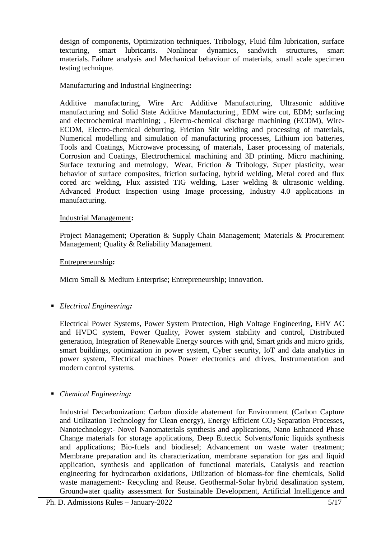design of components, Optimization techniques. Tribology, Fluid film lubrication, surface texturing, smart lubricants. Nonlinear dynamics, sandwich structures, smart materials. Failure analysis and Mechanical behaviour of materials, small scale specimen testing technique.

## Manufacturing and Industrial Engineering**:**

Additive manufacturing, Wire Arc Additive Manufacturing, Ultrasonic additive manufacturing and Solid State Additive Manufacturing., EDM wire cut, EDM; surfacing and electrochemical machining; , Electro-chemical discharge machining (ECDM), Wire-ECDM, Electro-chemical deburring, Friction Stir welding and processing of materials, Numerical modelling and simulation of manufacturing processes, Lithium ion batteries, Tools and Coatings, Microwave processing of materials, Laser processing of materials, Corrosion and Coatings, Electrochemical machining and 3D printing, Micro machining, Surface texturing and metrology, Wear, Friction & Tribology, Super plasticity, wear behavior of surface composites, friction surfacing, hybrid welding, Metal cored and flux cored arc welding, Flux assisted TIG welding, Laser welding & ultrasonic welding. Advanced Product Inspection using Image processing, Industry 4.0 applications in manufacturing.

#### Industrial Management**:**

Project Management; Operation & Supply Chain Management; Materials & Procurement Management; Quality & Reliability Management.

#### Entrepreneurship**:**

Micro Small & Medium Enterprise; Entrepreneurship; Innovation.

*Electrical Engineering:*

Electrical Power Systems, Power System Protection, High Voltage Engineering, EHV AC and HVDC system, Power Quality, Power system stability and control, Distributed generation, Integration of Renewable Energy sources with grid, Smart grids and micro grids, smart buildings, optimization in power system, Cyber security, IoT and data analytics in power system, Electrical machines Power electronics and drives, Instrumentation and modern control systems.

## *Chemical Engineering:*

Industrial Decarbonization: Carbon dioxide abatement for Environment (Carbon Capture and Utilization Technology for Clean energy), Energy Efficient  $CO<sub>2</sub>$  Separation Processes, Nanotechnology:- Novel Nanomaterials synthesis and applications, Nano Enhanced Phase Change materials for storage applications, Deep Eutectic Solvents/Ionic liquids synthesis and applications; Bio-fuels and biodiesel; Advancement on waste water treatment; Membrane preparation and its characterization, membrane separation for gas and liquid application, synthesis and application of functional materials, Catalysis and reaction engineering for hydrocarbon oxidations, Utilization of biomass-for fine chemicals, Solid waste management:- Recycling and Reuse. Geothermal-Solar hybrid desalination system, Groundwater quality assessment for Sustainable Development, Artificial Intelligence and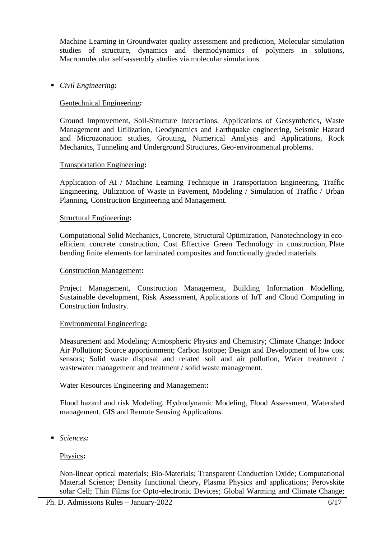Machine Learning in Groundwater quality assessment and prediction, Molecular simulation studies of structure, dynamics and thermodynamics of polymers in solutions, Macromolecular self-assembly studies via molecular simulations.

## *Civil Engineering:*

## Geotechnical Engineering**:**

Ground Improvement, Soil-Structure Interactions, Applications of Geosynthetics, Waste Management and Utilization, Geodynamics and Earthquake engineering, Seismic Hazard and Microzonation studies, Grouting, Numerical Analysis and Applications, Rock Mechanics, Tunneling and Underground Structures, Geo-environmental problems.

#### Transportation Engineering**:**

Application of AI / Machine Learning Technique in Transportation Engineering, Traffic Engineering, Utilization of Waste in Pavement, Modeling / Simulation of Traffic / Urban Planning, Construction Engineering and Management.

#### Structural Engineering**:**

Computational Solid Mechanics, Concrete, Structural Optimization, Nanotechnology in ecoefficient concrete construction, Cost Effective Green Technology in construction, Plate bending finite elements for laminated composites and functionally graded materials.

#### Construction Management**:**

Project Management, Construction Management, Building Information Modelling, Sustainable development, Risk Assessment, Applications of IoT and Cloud Computing in Construction Industry.

#### Environmental Engineering**:**

Measurement and Modeling; Atmospheric Physics and Chemistry; Climate Change; Indoor Air Pollution; Source apportionment; Carbon Isotope; Design and Development of low cost sensors; Solid waste disposal and related soil and air pollution, Water treatment / wastewater management and treatment / solid waste management.

#### Water Resources Engineering and Management**:**

Flood hazard and risk Modeling, Hydrodynamic Modeling, Flood Assessment, Watershed management, GIS and Remote Sensing Applications.

*Sciences:*

## Physics**:**

Non-linear optical materials; Bio-Materials; Transparent Conduction Oxide; Computational Material Science; Density functional theory, Plasma Physics and applications; Perovskite solar Cell; Thin Films for Opto-electronic Devices; Global Warming and Climate Change;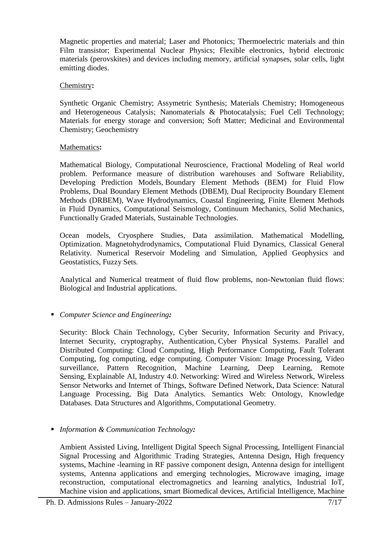Magnetic properties and material; Laser and Photonics; Thermoelectric materials and thin Film transistor; Experimental Nuclear Physics; Flexible electronics, hybrid electronic materials (perovskites) and devices including memory, artificial synapses, solar cells, light emitting diodes.

## Chemistry**:**

Synthetic Organic Chemistry; Assymetric Synthesis; Materials Chemistry; Homogeneous and Heterogeneous Catalysis; Nanomaterials & Photocatalysis; Fuel Cell Technology; Materials for energy storage and conversion; Soft Matter; Medicinal and Environmental Chemistry; Geochemistry

## Mathematics**:**

Mathematical Biology, Computational Neuroscience, Fractional Modeling of Real world problem. Performance measure of distribution warehouses and Software Reliability, Developing Prediction Models, Boundary Element Methods (BEM) for Fluid Flow Problems, Dual Boundary Element Methods (DBEM), Dual Reciprocity Boundary Element Methods (DRBEM), Wave Hydrodynamics, Coastal Engineering, Finite Element Methods in Fluid Dynamics, Computational Seismology, Continuum Mechanics, Solid Mechanics, Functionally Graded Materials, Sustainable Technologies.

Ocean models, Cryosphere Studies, Data assimilation. Mathematical Modelling, Optimization. Magnetohydrodynamics, Computational Fluid Dynamics, Classical General Relativity. Numerical Reservoir Modeling and Simulation, Applied Geophysics and Geostatistics, Fuzzy Sets.

Analytical and Numerical treatment of fluid flow problems, non-Newtonian fluid flows: Biological and Industrial applications.

## *Computer Science and Engineering:*

Security: Block Chain Technology, Cyber Security, Information Security and Privacy, Internet Security, cryptography, Authentication, Cyber Physical Systems. Parallel and Distributed Computing: Cloud Computing, High Performance Computing, Fault Tolerant Computing, fog computing, edge computing. Computer Vision: Image Processing, Video surveillance, Pattern Recognition, Machine Learning, Deep Learning, Remote Sensing, Explainable AI, Industry 4.0. Networking: Wired and Wireless Network, Wireless Sensor Networks and Internet of Things, Software Defined Network, Data Science: Natural Language Processing, Big Data Analytics. Semantics Web: Ontology, Knowledge Databases. Data Structures and Algorithms, Computational Geometry.

*Information & Communication Technology:*

Ambient Assisted Living, Intelligent Digital Speech Signal Processing, Intelligent Financial Signal Processing and Algorithmic Trading Strategies, Antenna Design, High frequency systems, Machine -learning in RF passive component design, Antenna design for intelligent systems, Antenna applications and emerging technologies, Microwave imaging, image reconstruction, computational electromagnetics and learning analytics, Industrial IoT, Machine vision and applications, smart Biomedical devices, Artificial Intelligence, Machine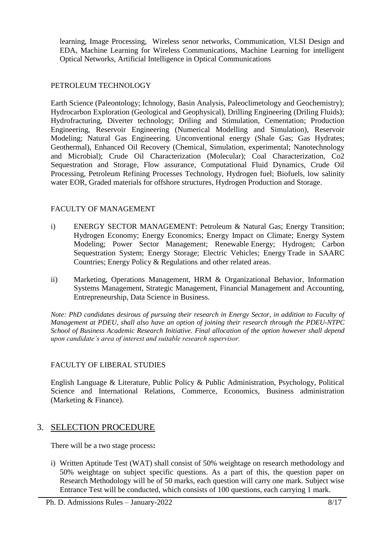learning, Image Processing, Wireless senor networks, Communication, VLSI Design and EDA, Machine Learning for Wireless Communications, Machine Learning for intelligent Optical Networks, Artificial Intelligence in Optical Communications

## PETROLEUM TECHNOLOGY

Earth Science (Paleontology; Ichnology, Basin Analysis, Paleoclimetology and Geochemistry); Hydrocarbon Exploration (Geological and Geophysical), Drilling Engineering (Driling Fluids); Hydrofracturing, Diverter technology; Driling and Stimulation, Cementation; Production Engineering, Reservoir Engineering (Numerical Modelling and Simulation), Reservoir Modeling; Natural Gas Engineering. Unconventional energy (Shale Gas; Gas Hydrates; Geothermal), Enhanced Oil Recovery (Chemical, Simulation, experimental; Nanotechnology and Microbial); Crude Oil Characterization (Molecular); Coal Characterization, Co2 Sequestration and Storage, Flow assurance, Computational Fluid Dynamics, Crude Oil Processing, Petroleum Refining Processes Technology, Hydrogen fuel; Biofuels, low salinity water EOR, Graded materials for offshore structures, Hydrogen Production and Storage.

## FACULTY OF MANAGEMENT

- i) ENERGY SECTOR MANAGEMENT: Petroleum & Natural Gas; Energy Transition; Hydrogen Economy; Energy Economics; Energy Impact on Climate; Energy System Modeling; Power Sector Management; Renewable Energy; Hydrogen; Carbon Sequestration System; Energy Storage; Electric Vehicles; Energy Trade in SAARC Countries; Energy Policy & Regulations and other related areas.
- ii) Marketing, Operations Management, HRM & Organizational Behavior, Information Systems Management, Strategic Management, Financial Management and Accounting, Entrepreneurship, Data Science in Business.

*Note: PhD candidates desirous of pursuing their research in Energy Sector, in addition to Faculty of Management at PDEU, shall also have an option of joining their research through the PDEU-NTPC School of Business Academic Research Initiative. Final allocation of the option however shall depend upon candidate's area of interest and suitable research supervisor.*

## FACULTY OF LIBERAL STUDIES

English Language & Literature, Public Policy & Public Administration, Psychology, Political Science and International Relations, Commerce, Economics, Business administration (Marketing & Finance).

## <span id="page-7-0"></span>3. SELECTION PROCEDURE

There will be a two stage process**:**

i) Written Aptitude Test (WAT) shall consist of 50% weightage on research methodology and 50% weightage on subject specific questions. As a part of this, the question paper on Research Methodology will be of 50 marks, each question will carry one mark. Subject wise Entrance Test will be conducted, which consists of 100 questions, each carrying 1 mark.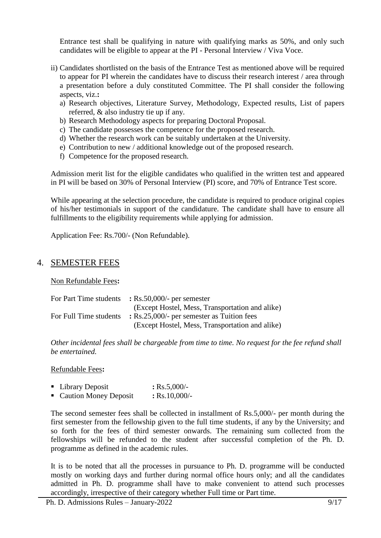Entrance test shall be qualifying in nature with qualifying marks as 50%, and only such candidates will be eligible to appear at the PI - Personal Interview / Viva Voce.

- ii) Candidates shortlisted on the basis of the Entrance Test as mentioned above will be required to appear for PI wherein the candidates have to discuss their research interest / area through a presentation before a duly constituted Committee. The PI shall consider the following aspects, viz.**:**
	- a) Research objectives, Literature Survey, Methodology, Expected results, List of papers referred, & also industry tie up if any.
	- b) Research Methodology aspects for preparing Doctoral Proposal.
	- c) The candidate possesses the competence for the proposed research.
	- d) Whether the research work can be suitably undertaken at the University.
	- e) Contribution to new / additional knowledge out of the proposed research.
	- f) Competence for the proposed research.

Admission merit list for the eligible candidates who qualified in the written test and appeared in PI will be based on 30% of Personal Interview (PI) score, and 70% of Entrance Test score.

While appearing at the selection procedure, the candidate is required to produce original copies of his/her testimonials in support of the candidature. The candidate shall have to ensure all fulfillments to the eligibility requirements while applying for admission.

Application Fee: Rs.700/- (Non Refundable).

## <span id="page-8-0"></span>4. SEMESTER FEES

Non Refundable Fees**:**

| For Part Time students | $\therefore$ Rs.50,000/- per semester                 |
|------------------------|-------------------------------------------------------|
|                        | (Except Hostel, Mess, Transportation and alike)       |
| For Full Time students | $\therefore$ Rs.25,000/- per semester as Tuition fees |
|                        | (Except Hostel, Mess, Transportation and alike)       |

*Other incidental fees shall be chargeable from time to time. No request for the fee refund shall be entertained.*

#### Refundable Fees**:**

| • Library Deposit       | $:$ Rs.5,000/-  |
|-------------------------|-----------------|
| • Caution Money Deposit | $:$ Rs.10,000/- |

The second semester fees shall be collected in installment of Rs.5,000/- per month during the first semester from the fellowship given to the full time students, if any by the University; and so forth for the fees of third semester onwards. The remaining sum collected from the fellowships will be refunded to the student after successful completion of the Ph. D. programme as defined in the academic rules.

It is to be noted that all the processes in pursuance to Ph. D. programme will be conducted mostly on working days and further during normal office hours only; and all the candidates admitted in Ph. D. programme shall have to make convenient to attend such processes accordingly, irrespective of their category whether Full time or Part time.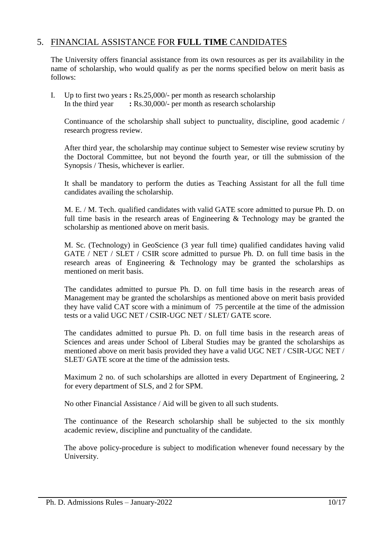## <span id="page-9-0"></span>5. FINANCIAL ASSISTANCE FOR **FULL TIME** CANDIDATES

The University offers financial assistance from its own resources as per its availability in the name of scholarship, who would qualify as per the norms specified below on merit basis as follows:

I. Up to first two years **:** Rs.25,000/- per month as research scholarship In the third year **:** Rs.30,000/- per month as research scholarship

Continuance of the scholarship shall subject to punctuality, discipline, good academic / research progress review.

After third year, the scholarship may continue subject to Semester wise review scrutiny by the Doctoral Committee, but not beyond the fourth year, or till the submission of the Synopsis / Thesis, whichever is earlier.

It shall be mandatory to perform the duties as Teaching Assistant for all the full time candidates availing the scholarship.

M. E. / M. Tech. qualified candidates with valid GATE score admitted to pursue Ph. D. on full time basis in the research areas of Engineering & Technology may be granted the scholarship as mentioned above on merit basis.

M. Sc. (Technology) in GeoScience (3 year full time) qualified candidates having valid GATE / NET / SLET / CSIR score admitted to pursue Ph. D. on full time basis in the research areas of Engineering & Technology may be granted the scholarships as mentioned on merit basis.

The candidates admitted to pursue Ph. D. on full time basis in the research areas of Management may be granted the scholarships as mentioned above on merit basis provided they have valid CAT score with a minimum of 75 percentile at the time of the admission tests or a valid UGC NET / CSIR-UGC NET / SLET/ GATE score.

The candidates admitted to pursue Ph. D. on full time basis in the research areas of Sciences and areas under School of Liberal Studies may be granted the scholarships as mentioned above on merit basis provided they have a valid UGC NET / CSIR-UGC NET / SLET/ GATE score at the time of the admission tests.

Maximum 2 no. of such scholarships are allotted in every Department of Engineering, 2 for every department of SLS, and 2 for SPM.

No other Financial Assistance / Aid will be given to all such students.

The continuance of the Research scholarship shall be subjected to the six monthly academic review, discipline and punctuality of the candidate.

The above policy-procedure is subject to modification whenever found necessary by the University.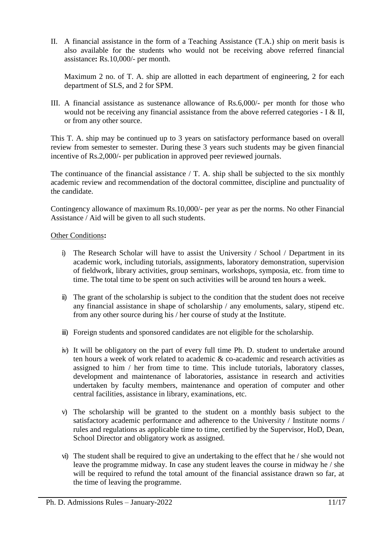II. A financial assistance in the form of a Teaching Assistance (T.A.) ship on merit basis is also available for the students who would not be receiving above referred financial assistance**:** Rs.10,000/- per month.

Maximum 2 no. of T. A. ship are allotted in each department of engineering, 2 for each department of SLS, and 2 for SPM.

III. A financial assistance as sustenance allowance of Rs.6,000/- per month for those who would not be receiving any financial assistance from the above referred categories - I & II, or from any other source.

This T. A. ship may be continued up to 3 years on satisfactory performance based on overall review from semester to semester. During these 3 years such students may be given financial incentive of Rs.2,000/- per publication in approved peer reviewed journals.

The continuance of the financial assistance  $/$  T. A. ship shall be subjected to the six monthly academic review and recommendation of the doctoral committee, discipline and punctuality of the candidate.

Contingency allowance of maximum Rs.10,000/- per year as per the norms. No other Financial Assistance / Aid will be given to all such students.

## Other Conditions**:**

- i) The Research Scholar will have to assist the University / School / Department in its academic work, including tutorials, assignments, laboratory demonstration, supervision of fieldwork, library activities, group seminars, workshops, symposia, etc. from time to time. The total time to be spent on such activities will be around ten hours a week.
- ii) The grant of the scholarship is subject to the condition that the student does not receive any financial assistance in shape of scholarship / any emoluments, salary, stipend etc. from any other source during his / her course of study at the Institute.
- iii) Foreign students and sponsored candidates are not eligible for the scholarship.
- iv) It will be obligatory on the part of every full time Ph. D. student to undertake around ten hours a week of work related to academic & co-academic and research activities as assigned to him / her from time to time. This include tutorials, laboratory classes, development and maintenance of laboratories, assistance in research and activities undertaken by faculty members, maintenance and operation of computer and other central facilities, assistance in library, examinations, etc.
- v) The scholarship will be granted to the student on a monthly basis subject to the satisfactory academic performance and adherence to the University / Institute norms / rules and regulations as applicable time to time, certified by the Supervisor, HoD, Dean, School Director and obligatory work as assigned.
- vi) The student shall be required to give an undertaking to the effect that he / she would not leave the programme midway. In case any student leaves the course in midway he / she will be required to refund the total amount of the financial assistance drawn so far, at the time of leaving the programme.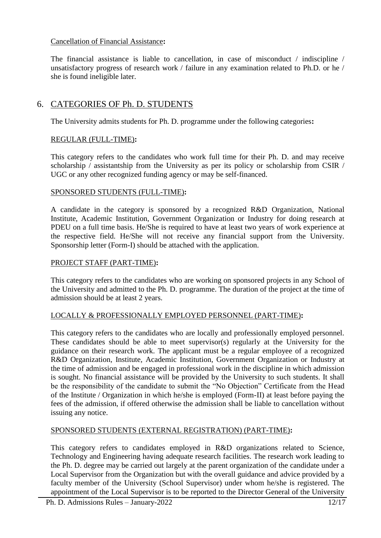## Cancellation of Financial Assistance**:**

The financial assistance is liable to cancellation, in case of misconduct / indiscipline / unsatisfactory progress of research work / failure in any examination related to Ph.D. or he / she is found ineligible later.

## <span id="page-11-0"></span>6. CATEGORIES OF Ph. D. STUDENTS

The University admits students for Ph. D. programme under the following categories**:**

## REGULAR (FULL-TIME)**:**

This category refers to the candidates who work full time for their Ph. D. and may receive scholarship / assistantship from the University as per its policy or scholarship from CSIR / UGC or any other recognized funding agency or may be self-financed.

## SPONSORED STUDENTS (FULL-TIME)**:**

A candidate in the category is sponsored by a recognized R&D Organization, National Institute, Academic Institution, Government Organization or Industry for doing research at PDEU on a full time basis. He/She is required to have at least two years of work experience at the respective field. He/She will not receive any financial support from the University. Sponsorship letter (Form-I) should be attached with the application.

## PROJECT STAFF (PART-TIME)**:**

This category refers to the candidates who are working on sponsored projects in any School of the University and admitted to the Ph. D. programme. The duration of the project at the time of admission should be at least 2 years.

## LOCALLY & PROFESSIONALLY EMPLOYED PERSONNEL (PART-TIME)**:**

This category refers to the candidates who are locally and professionally employed personnel. These candidates should be able to meet supervisor(s) regularly at the University for the guidance on their research work. The applicant must be a regular employee of a recognized R&D Organization, Institute, Academic Institution, Government Organization or Industry at the time of admission and be engaged in professional work in the discipline in which admission is sought. No financial assistance will be provided by the University to such students. It shall be the responsibility of the candidate to submit the "No Objection" Certificate from the Head of the Institute / Organization in which he/she is employed (Form-II) at least before paying the fees of the admission, if offered otherwise the admission shall be liable to cancellation without issuing any notice.

## SPONSORED STUDENTS (EXTERNAL REGISTRATION) (PART-TIME)**:**

This category refers to candidates employed in R&D organizations related to Science, Technology and Engineering having adequate research facilities. The research work leading to the Ph. D. degree may be carried out largely at the parent organization of the candidate under a Local Supervisor from the Organization but with the overall guidance and advice provided by a faculty member of the University (School Supervisor) under whom he/she is registered. The appointment of the Local Supervisor is to be reported to the Director General of the University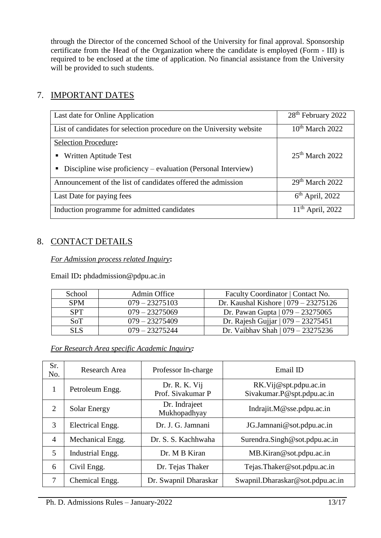through the Director of the concerned School of the University for final approval. Sponsorship certificate from the Head of the Organization where the candidate is employed (Form - III) is required to be enclosed at the time of application. No financial assistance from the University will be provided to such students.

## <span id="page-12-0"></span>7. IMPORTANT DATES

| Last date for Online Application                                     | 28 <sup>th</sup> February 2022 |
|----------------------------------------------------------------------|--------------------------------|
| List of candidates for selection procedure on the University website | $10th$ March 2022              |
| Selection Procedure:                                                 |                                |
| Written Aptitude Test                                                | $25th$ March 2022              |
| Discipline wise proficiency – evaluation (Personal Interview)        |                                |
| Announcement of the list of candidates offered the admission         | 29 <sup>th</sup> March 2022    |
| Last Date for paying fees                                            | $6th$ April, 2022              |
| Induction programme for admitted candidates                          | $11^{th}$ April, 2022          |

## <span id="page-12-1"></span>8. CONTACT DETAILS

*For Admission process related Inquiry***:**

Email ID**:** phdadmission@pdpu.ac.in

| School     | Admin Office     | Faculty Coordinator   Contact No.      |
|------------|------------------|----------------------------------------|
| <b>SPM</b> | $079 - 23275103$ | Dr. Kaushal Kishore $(079 - 23275126)$ |
| <b>SPT</b> | $079 - 23275069$ | Dr. Pawan Gupta $ 079 - 23275065 $     |
| SoT        | $079 - 23275409$ | Dr. Rajesh Gujjar   $079 - 23275451$   |
| SL S       | $079 - 23275244$ | Dr. Vaibhav Shah $(079 - 23275236)$    |

*For Research Area specific Academic Inquiry:*

| Sr.<br>No.     | Research Area       | Professor In-charge                | Email ID                                            |
|----------------|---------------------|------------------------------------|-----------------------------------------------------|
| 1              | Petroleum Engg.     | Dr. R. K. Vij<br>Prof. Sivakumar P | RK.Vij@spt.pdpu.ac.in<br>Sivakumar.P@spt.pdpu.ac.in |
| 2              | <b>Solar Energy</b> | Dr. Indrajeet<br>Mukhopadhyay      | Indrajit. $M@$ sse.pdpu.ac.in                       |
| 3              | Electrical Engg.    | Dr. J. G. Jamnani                  | JG.Jamnani@sot.pdpu.ac.in                           |
| $\overline{4}$ | Mechanical Engg.    | Dr. S. S. Kachhwaha                | Surendra.Singh@sot.pdpu.ac.in                       |
| 5              | Industrial Engg.    | Dr. M B Kiran                      | MB.Kiran@sot.pdpu.ac.in                             |
| 6              | Civil Engg.         | Dr. Tejas Thaker                   | Tejas.Thaker@sot.pdpu.ac.in                         |
| $\overline{7}$ | Chemical Engg.      | Dr. Swapnil Dharaskar              | Swapnil.Dharaskar@sot.pdpu.ac.in                    |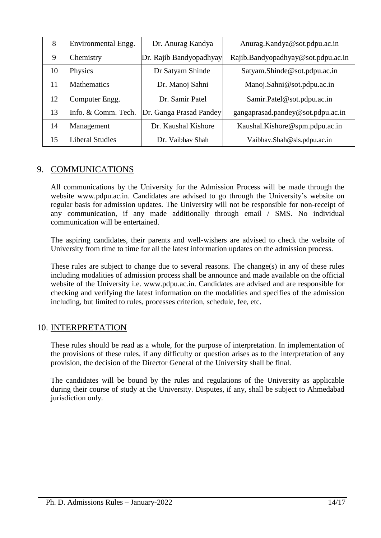| 8  | Environmental Engg.    | Dr. Anurag Kandya       | Anurag.Kandya@sot.pdpu.ac.in       |
|----|------------------------|-------------------------|------------------------------------|
| 9  | Chemistry              | Dr. Rajib Bandyopadhyay | Rajib.Bandyopadhyay@sot.pdpu.ac.in |
| 10 | Physics                | Dr Satyam Shinde        | Satyam.Shinde@sot.pdpu.ac.in       |
| 11 | <b>Mathematics</b>     | Dr. Manoj Sahni         | Manoj.Sahni@sot.pdpu.ac.in         |
| 12 | Computer Engg.         | Dr. Samir Patel         | Samir.Patel@sot.pdpu.ac.in         |
| 13 | Info. & Comm. Tech.    | Dr. Ganga Prasad Pandey | gangaprasad.pandey@sot.pdpu.ac.in  |
| 14 | Management             | Dr. Kaushal Kishore     | Kaushal.Kishore@spm.pdpu.ac.in     |
| 15 | <b>Liberal Studies</b> | Dr. Vaibhay Shah        | Vaibhav.Shah@sls.pdpu.ac.in        |

## <span id="page-13-0"></span>9. COMMUNICATIONS

All communications by the University for the Admission Process will be made through the website [www.pdpu.ac.in. C](http://www.pdpu.ac.in/)andidates are advised to go through the University's website on regular basis for admission updates. The University will not be responsible for non-receipt of any communication, if any made additionally through email / SMS. No individual communication will be entertained.

The aspiring candidates, their parents and well-wishers are advised to check the website of University from time to time for all the latest information updates on the admission process.

These rules are subject to change due to several reasons. The change(s) in any of these rules including modalities of admission process shall be announce and made available on the official website of the University i.e. [www.pdpu.ac.in.](http://www.pdpu.ac.in/) Candidates are advised and are responsible for checking and verifying the latest information on the modalities and specifies of the admission including, but limited to rules, processes criterion, schedule, fee, etc.

## <span id="page-13-1"></span>10. INTERPRETATION

These rules should be read as a whole, for the purpose of interpretation. In implementation of the provisions of these rules, if any difficulty or question arises as to the interpretation of any provision, the decision of the Director General of the University shall be final.

The candidates will be bound by the rules and regulations of the University as applicable during their course of study at the University. Disputes, if any, shall be subject to Ahmedabad jurisdiction only.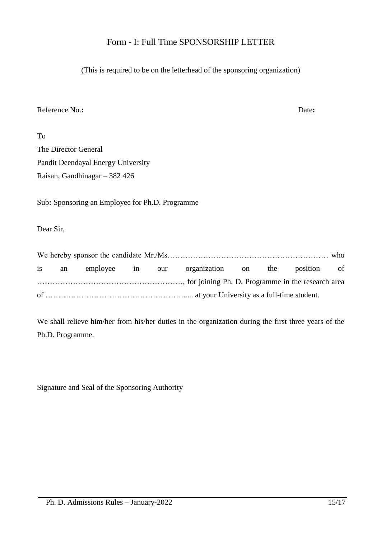## Form - I: Full Time SPONSORSHIP LETTER

(This is required to be on the letterhead of the sponsoring organization)

## Reference No.**:** Date**:**

| To                                 |
|------------------------------------|
| The Director General               |
| Pandit Deendayal Energy University |
| Raisan, Gandhinagar $-382426$      |

Sub**:** Sponsoring an Employee for Ph.D. Programme

Dear Sir,

|  |  | is an employee in our organization on the position of |  |  |
|--|--|-------------------------------------------------------|--|--|
|  |  |                                                       |  |  |
|  |  |                                                       |  |  |

We shall relieve him/her from his/her duties in the organization during the first three years of the Ph.D. Programme.

Signature and Seal of the Sponsoring Authority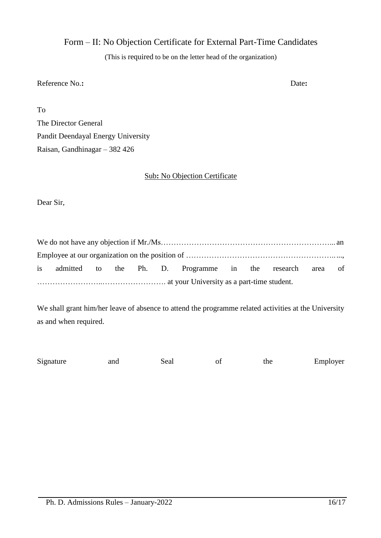Form – II: No Objection Certificate for External Part-Time Candidates

(This is required to be on the letter head of the organization)

## Reference No.: Date:

To

The Director General Pandit Deendayal Energy University Raisan, Gandhinagar – 382 426

## Sub**:** No Objection Certificate

Dear Sir,

|  |  |  | is admitted to the Ph. D. Programme in the research area of |  |  |  |
|--|--|--|-------------------------------------------------------------|--|--|--|
|  |  |  |                                                             |  |  |  |

We shall grant him/her leave of absence to attend the programme related activities at the University as and when required.

| Signature<br>Employer<br>and<br>Seal<br>the |
|---------------------------------------------|
|---------------------------------------------|